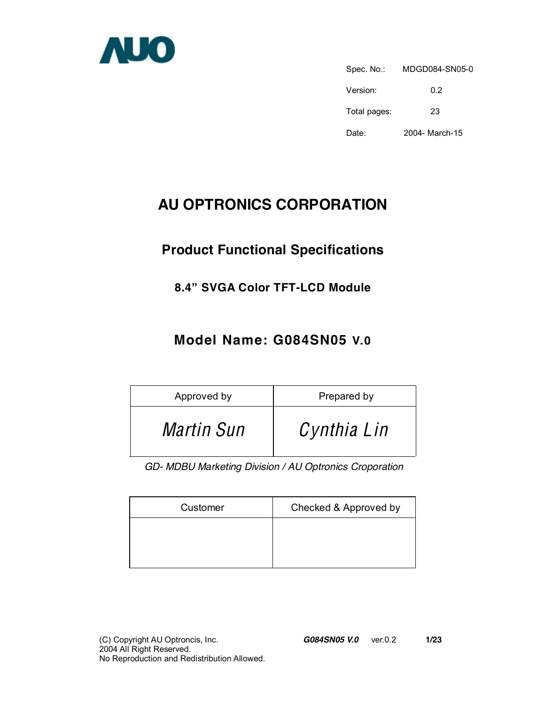

Spec. No.: MDGD084-SN05-0 Version: 0.2 Total pages: 23 Date: 2004- March-15

# **AU OPTRONICS CORPORATION**

# **Product Functional Specifications**

### **8.4" SVGA Color TFT-LCD Module**

### **Model Name: G084SN05 V.0**

| Approved by       | Prepared by |
|-------------------|-------------|
| <i>Martin Sun</i> | Cynthia Lin |

*GD- MDBU Marketing Division / AU Optronics Croporation* 

| Customer | Checked & Approved by |
|----------|-----------------------|
|          |                       |
|          |                       |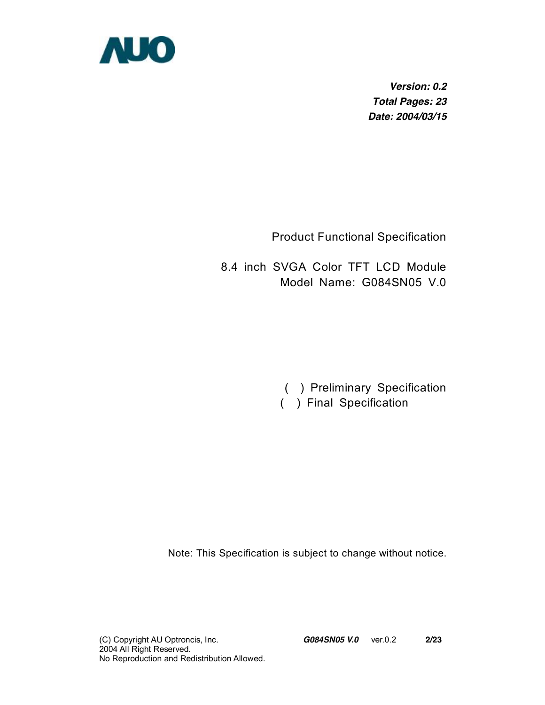

*Version: 0.2 Total Pages: 23 Date: 2004/03/15* 

Product Functional Specification

8.4 inch SVGA Color TFT LCD Module Model Name: G084SN05 V.0

> ( ) Preliminary Specification ( ) Final Specification

Note: This Specification is subject to change without notice.

(C) Copyright AU Optroncis, Inc.*G084SN05 V.0*ver.0.2 **2/23**  2004 All Right Reserved. No Reproduction and Redistribution Allowed.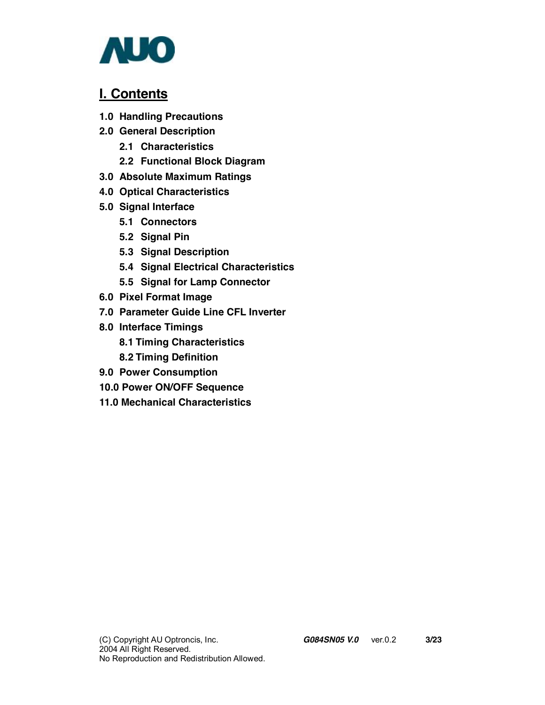

### **I. Contents**

- **1.0 Handling Precautions**
- **2.0 General Description** 
	- **2.1 Characteristics**
	- **2.2 Functional Block Diagram**
- **3.0 Absolute Maximum Ratings**
- **4.0 Optical Characteristics**
- **5.0 Signal Interface** 
	- **5.1 Connectors**
	- **5.2 Signal Pin**
	- **5.3 Signal Description**
	- **5.4 Signal Electrical Characteristics**
	- **5.5 Signal for Lamp Connector**
- **6.0 Pixel Format Image**
- **7.0 Parameter Guide Line CFL Inverter**
- **8.0 Interface Timings** 
	- **8.1 Timing Characteristics**
	- **8.2 Timing Definition**
- **9.0 Power Consumption**
- **10.0 Power ON/OFF Sequence**
- **11.0 Mechanical Characteristics**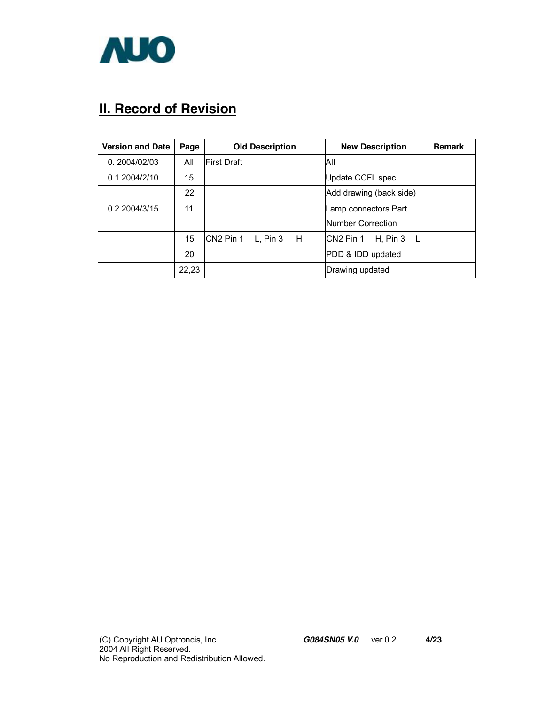

# **II. Record of Revision**

| <b>Version and Date</b> | Page  | <b>Old Description</b>                 | <b>New Description</b>                      | <b>Remark</b> |
|-------------------------|-------|----------------------------------------|---------------------------------------------|---------------|
| 0.2004/02/03            | All   | First Draft                            | ΙAΙΙ                                        |               |
| 0.12004/2/10            | 15    |                                        | Update CCFL spec.                           |               |
|                         | 22    |                                        | Add drawing (back side)                     |               |
| 0.2 2004/3/15           | 11    |                                        | Lamp connectors Part                        |               |
|                         |       |                                        | Number Correction                           |               |
|                         | 15    | CN <sub>2</sub> Pin 1<br>L, Pin 3<br>H | CN <sub>2</sub> Pin 1<br>H, Pin $3 \quad L$ |               |
|                         | 20    |                                        | PDD & IDD updated                           |               |
|                         | 22,23 |                                        | Drawing updated                             |               |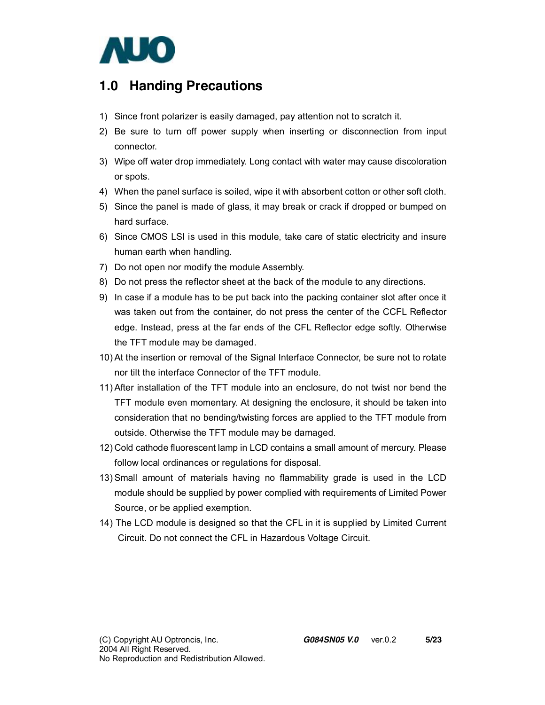

### **1.0 Handing Precautions**

- 1) Since front polarizer is easily damaged, pay attention not to scratch it.
- 2) Be sure to turn off power supply when inserting or disconnection from input connector.
- 3) Wipe off water drop immediately. Long contact with water may cause discoloration or spots.
- 4) When the panel surface is soiled, wipe it with absorbent cotton or other soft cloth.
- 5) Since the panel is made of glass, it may break or crack if dropped or bumped on hard surface.
- 6) Since CMOS LSI is used in this module, take care of static electricity and insure human earth when handling.
- 7) Do not open nor modify the module Assembly.
- 8) Do not press the reflector sheet at the back of the module to any directions.
- 9) In case if a module has to be put back into the packing container slot after once it was taken out from the container, do not press the center of the CCFL Reflector edge. Instead, press at the far ends of the CFL Reflector edge softly. Otherwise the TFT module may be damaged.
- 10) At the insertion or removal of the Signal Interface Connector, be sure not to rotate nor tilt the interface Connector of the TFT module.
- 11) After installation of the TFT module into an enclosure, do not twist nor bend the TFT module even momentary. At designing the enclosure, it should be taken into consideration that no bending/twisting forces are applied to the TFT module from outside. Otherwise the TFT module may be damaged.
- 12) Cold cathode fluorescent lamp in LCD contains a small amount of mercury. Please follow local ordinances or regulations for disposal.
- 13) Small amount of materials having no flammability grade is used in the LCD module should be supplied by power complied with requirements of Limited Power Source, or be applied exemption.
- 14) The LCD module is designed so that the CFL in it is supplied by Limited Current Circuit. Do not connect the CFL in Hazardous Voltage Circuit.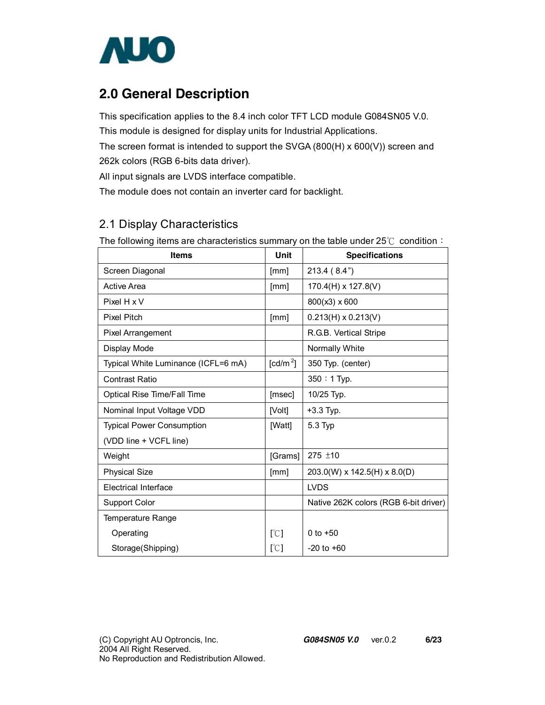

## **2.0 General Description**

This specification applies to the 8.4 inch color TFT LCD module G084SN05 V.0. This module is designed for display units for Industrial Applications. The screen format is intended to support the SVGA (800(H) x 600(V)) screen and 262k colors (RGB 6-bits data driver).

All input signals are LVDS interface compatible.

The module does not contain an inverter card for backlight.

#### 2.1 Display Characteristics

The following items are characteristics summary on the table under 25℃ condition:

| <b>Items</b>                        | Unit             | <b>Specifications</b>                 |
|-------------------------------------|------------------|---------------------------------------|
| Screen Diagonal                     | [mm]             | 213.4(8.4")                           |
| <b>Active Area</b>                  | [mm]             | $170.4(H) \times 127.8(V)$            |
| Pixel H x V                         |                  | 800(x3) x 600                         |
| <b>Pixel Pitch</b>                  | [mm]             | $0.213(H) \times 0.213(V)$            |
| <b>Pixel Arrangement</b>            |                  | R.G.B. Vertical Stripe                |
| Display Mode                        |                  | Normally White                        |
| Typical White Luminance (ICFL=6 mA) | $\text{[cd/m}^2$ | 350 Typ. (center)                     |
| <b>Contrast Ratio</b>               |                  | 350: 1 Typ.                           |
| Optical Rise Time/Fall Time         | [msec]           | 10/25 Typ.                            |
| Nominal Input Voltage VDD           | [Volt]           | $+3.3$ Typ.                           |
| <b>Typical Power Consumption</b>    | [Watt]           | 5.3 Typ                               |
| (VDD line + VCFL line)              |                  |                                       |
| Weight                              | [Grams]          | $275 \pm 10$                          |
| <b>Physical Size</b>                | [mm]             | $203.0(W)$ x 142.5(H) x 8.0(D)        |
| <b>Electrical Interface</b>         |                  | <b>LVDS</b>                           |
| <b>Support Color</b>                |                  | Native 262K colors (RGB 6-bit driver) |
| Temperature Range                   |                  |                                       |
| Operating                           | [°C]             | 0 to $+50$                            |
| Storage(Shipping)                   | [°C]             | $-20$ to $+60$                        |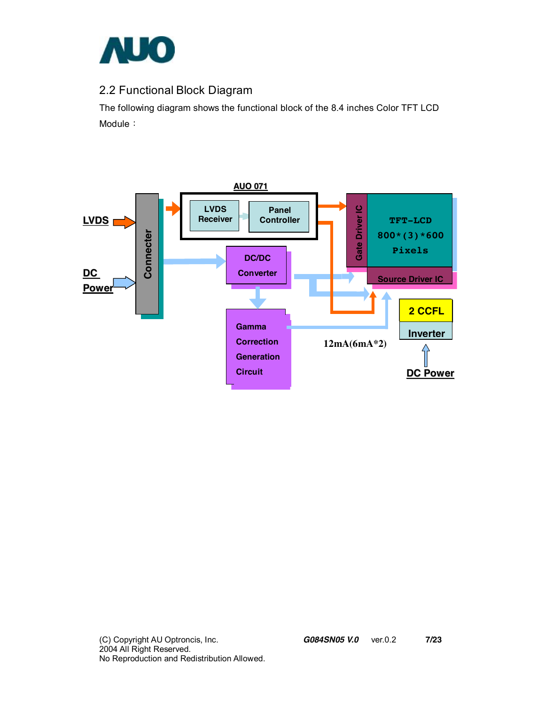

### 2.2 Functional Block Diagram

The following diagram shows the functional block of the 8.4 inches Color TFT LCD Module:

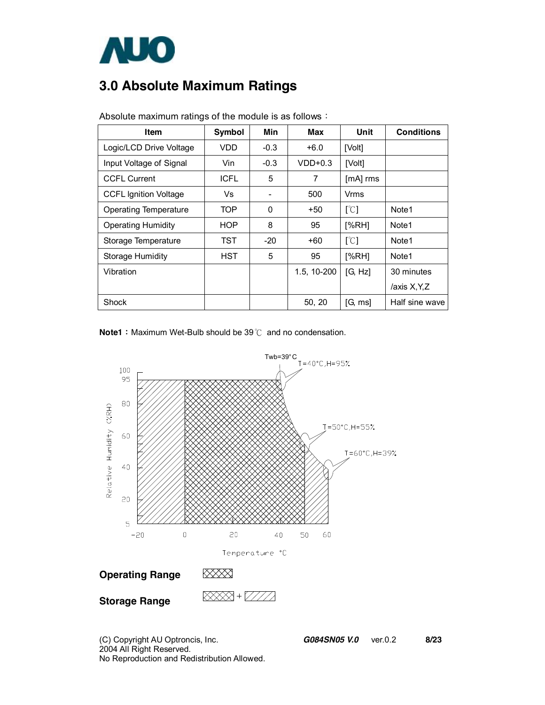

# **3.0 Absolute Maximum Ratings**

| <b>Item</b>                  | <b>Symbol</b> | Min    | <b>Max</b>  | Unit     | <b>Conditions</b> |
|------------------------------|---------------|--------|-------------|----------|-------------------|
| Logic/LCD Drive Voltage      | VDD           | $-0.3$ | $+6.0$      | [Volt]   |                   |
| Input Voltage of Signal      | Vin           | $-0.3$ | $VDD+0.3$   | [Volt]   |                   |
| <b>CCFL Current</b>          | <b>ICFL</b>   | 5      | 7           | [mA] rms |                   |
| <b>CCFL Ignition Voltage</b> | Vs            |        | 500         | Vrms     |                   |
| Operating Temperature        | <b>TOP</b>    | 0      | +50         | [°C]     | Note1             |
| <b>Operating Humidity</b>    | <b>HOP</b>    | 8      | 95          | [%RH]    | Note1             |
| Storage Temperature          | TST           | $-20$  | $+60$       | [°C]     | Note1             |
| <b>Storage Humidity</b>      | <b>HST</b>    | 5      | 95          | [%RH]    | Note1             |
| Vibration                    |               |        | 1.5, 10-200 | [G, Hz]  | 30 minutes        |
|                              |               |        |             |          | /axis X, Y, Z     |
| <b>Shock</b>                 |               |        | 50, 20      | [G, ms]  | Half sine wave    |

Absolute maximum ratings of the module is as follows:

**Note1**: Maximum Wet-Bulb should be 39℃ and no condensation.



(C) Copyright AU Optroncis, Inc.*G084SN05 V.0*ver.0.2 **8/23**  2004 All Right Reserved. No Reproduction and Redistribution Allowed.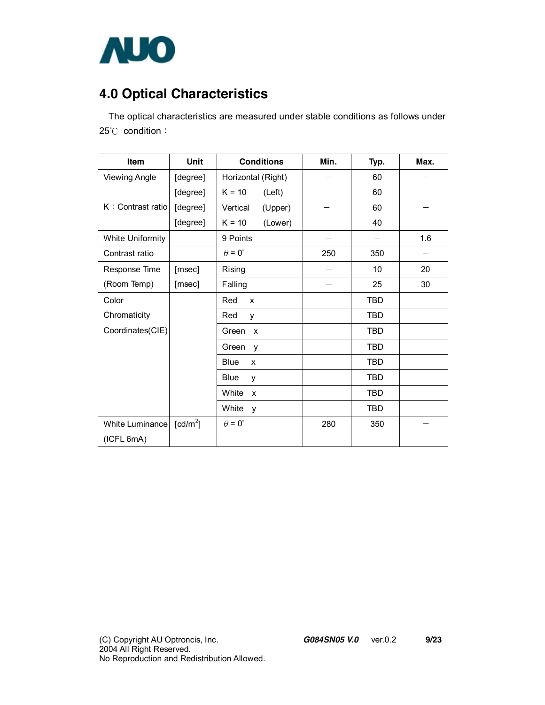

# **4.0 Optical Characteristics**

The optical characteristics are measured under stable conditions as follows under 25℃ condition:

| <b>Item</b>             | Unit                 | <b>Conditions</b>                  | Min. | Typ.       | Max. |
|-------------------------|----------------------|------------------------------------|------|------------|------|
| <b>Viewing Angle</b>    | [degree]             | Horizontal (Right)                 |      | 60         |      |
|                         | [degree]             | $K = 10$<br>(Left)                 |      | 60         |      |
| K: Contrast ratio       | [degree]             | Vertical<br>(Upper)                |      | 60         |      |
|                         | [degree]             | $K = 10$<br>(Lower)                |      | 40         |      |
| <b>White Uniformity</b> |                      | 9 Points                           |      |            | 1.6  |
| Contrast ratio          |                      | $\theta = 0^{\circ}$               | 250  | 350        |      |
| Response Time           | [msec]               | Rising                             |      | 10         | 20   |
| (Room Temp)             | [msec]               | Falling                            |      | 25         | 30   |
| Color                   |                      | Red<br>X                           |      | <b>TBD</b> |      |
| Chromaticity            |                      | Red<br>y                           |      | <b>TBD</b> |      |
| Coordinates(CIE)        |                      | Green<br>$\boldsymbol{\mathsf{x}}$ |      | <b>TBD</b> |      |
|                         |                      | Green<br>y                         |      | TBD        |      |
|                         |                      | Blue<br>X                          |      | <b>TBD</b> |      |
|                         |                      | Blue<br>y                          |      | <b>TBD</b> |      |
|                         |                      | White<br>X                         |      | <b>TBD</b> |      |
|                         |                      | White<br>y                         |      | <b>TBD</b> |      |
| White Luminance         | [cd/m <sup>2</sup> ] | $\theta = 0^{\circ}$               | 280  | 350        |      |
| (ICFL 6mA)              |                      |                                    |      |            |      |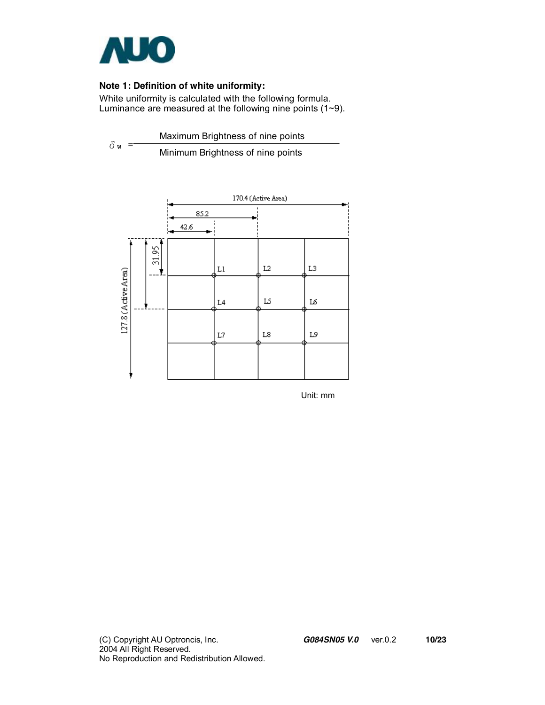

#### **Note 1: Definition of white uniformity:**

White uniformity is calculated with the following formula. Luminance are measured at the following nine points (1~9).

 $\delta$ <sub>W</sub> = Maximum Brightness of nine points Minimum Brightness of nine points



Unit: mm

(C) Copyright AU Optroncis, Inc.*G084SN05 V.0*ver.0.2 **10/23**  2004 All Right Reserved. No Reproduction and Redistribution Allowed.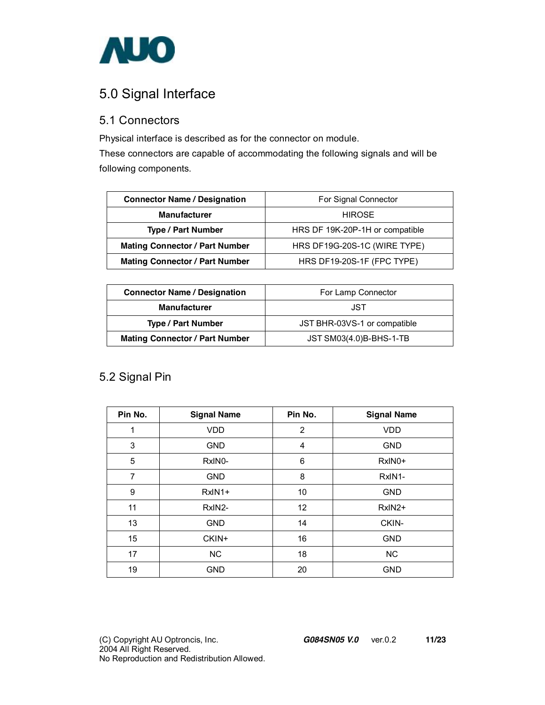

## 5.0 Signal Interface

#### 5.1 Connectors

Physical interface is described as for the connector on module.

These connectors are capable of accommodating the following signals and will be following components.

| <b>Connector Name / Designation</b>   | For Signal Connector            |  |  |
|---------------------------------------|---------------------------------|--|--|
| <b>Manufacturer</b>                   | <b>HIROSE</b>                   |  |  |
| <b>Type / Part Number</b>             | HRS DF 19K-20P-1H or compatible |  |  |
| <b>Mating Connector / Part Number</b> | HRS DF19G-20S-1C (WIRE TYPE)    |  |  |
| <b>Mating Connector / Part Number</b> | HRS DF19-20S-1F (FPC TYPE)      |  |  |

| <b>Connector Name / Designation</b>   | For Lamp Connector           |  |  |
|---------------------------------------|------------------------------|--|--|
| <b>Manufacturer</b>                   | JST                          |  |  |
| <b>Type / Part Number</b>             | JST BHR-03VS-1 or compatible |  |  |
| <b>Mating Connector / Part Number</b> | JST SM03(4.0)B-BHS-1-TB      |  |  |

#### 5.2 Signal Pin

| Pin No.        | <b>Signal Name</b> | Pin No. | <b>Signal Name</b> |
|----------------|--------------------|---------|--------------------|
|                | <b>VDD</b>         | 2       | <b>VDD</b>         |
| 3              | <b>GND</b>         | 4       | <b>GND</b>         |
| 5              | RxIN0-             | 6       | RxIN0+             |
| $\overline{7}$ | <b>GND</b>         | 8       | RxIN1-             |
| 9              | $RxIN1+$           | 10      | <b>GND</b>         |
| 11             | RxIN2-             | 12      | RxIN2+             |
| 13             | <b>GND</b>         | 14      | CKIN-              |
| 15             | CKIN+              | 16      | <b>GND</b>         |
| 17             | <b>NC</b>          | 18      | NC                 |
| 19             | <b>GND</b>         | 20      | <b>GND</b>         |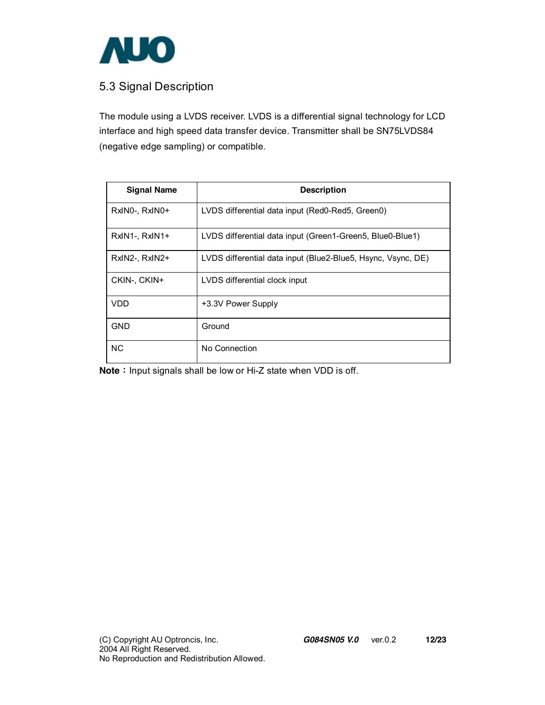

#### 5.3 Signal Description

The module using a LVDS receiver. LVDS is a differential signal technology for LCD interface and high speed data transfer device. Transmitter shall be SN75LVDS84 (negative edge sampling) or compatible.

| <b>Signal Name</b> | <b>Description</b>                                           |
|--------------------|--------------------------------------------------------------|
| RxINO-, RxINO+     | LVDS differential data input (Red0-Red5, Green0)             |
| RxIN1-, RxIN1+     | LVDS differential data input (Green1-Green5, Blue0-Blue1)    |
| RxIN2-, RxIN2+     | LVDS differential data input (Blue2-Blue5, Hsync, Vsync, DE) |
| CKIN-, CKIN+       | LVDS differential clock input                                |
| <b>VDD</b>         | +3.3V Power Supply                                           |
| <b>GND</b>         | Ground                                                       |
| NC.                | No Connection                                                |

**Note**: Input signals shall be low or Hi-Z state when VDD is off.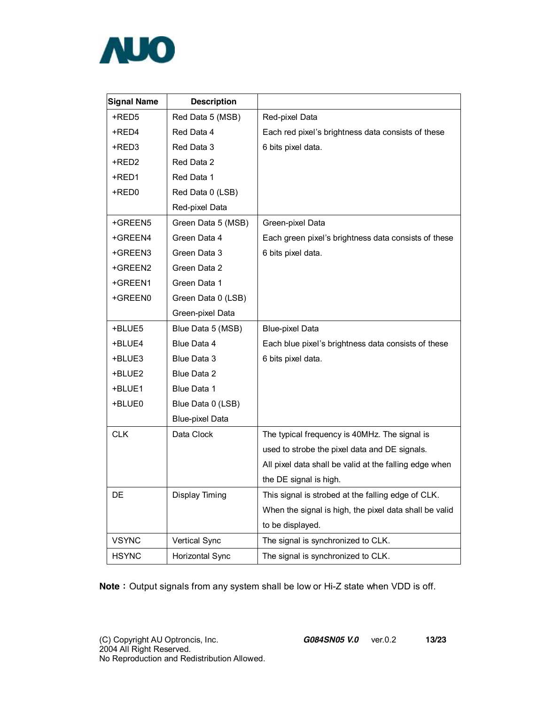

| <b>Signal Name</b> | <b>Description</b>     |                                                        |
|--------------------|------------------------|--------------------------------------------------------|
| +RED5              | Red Data 5 (MSB)       | Red-pixel Data                                         |
| +RED4              | Red Data 4             | Each red pixel's brightness data consists of these     |
| +RED3              | Red Data 3             | 6 bits pixel data.                                     |
| +RED2              | Red Data 2             |                                                        |
| +RED1              | Red Data 1             |                                                        |
| +RED0              | Red Data 0 (LSB)       |                                                        |
|                    | Red-pixel Data         |                                                        |
| +GREEN5            | Green Data 5 (MSB)     | Green-pixel Data                                       |
| +GREEN4            | Green Data 4           | Each green pixel's brightness data consists of these   |
| +GREEN3            | Green Data 3           | 6 bits pixel data.                                     |
| +GREEN2            | Green Data 2           |                                                        |
| +GREEN1            | Green Data 1           |                                                        |
| +GREEN0            | Green Data 0 (LSB)     |                                                        |
|                    | Green-pixel Data       |                                                        |
| +BLUE5             | Blue Data 5 (MSB)      | <b>Blue-pixel Data</b>                                 |
| +BLUE4             | Blue Data 4            | Each blue pixel's brightness data consists of these    |
| +BLUE3             | Blue Data 3            | 6 bits pixel data.                                     |
| +BLUE2             | Blue Data 2            |                                                        |
| +BLUE1             | Blue Data 1            |                                                        |
| +BLUE0             | Blue Data 0 (LSB)      |                                                        |
|                    | <b>Blue-pixel Data</b> |                                                        |
| <b>CLK</b>         | Data Clock             | The typical frequency is 40MHz. The signal is          |
|                    |                        | used to strobe the pixel data and DE signals.          |
|                    |                        | All pixel data shall be valid at the falling edge when |
|                    |                        | the DE signal is high.                                 |
| DE                 | Display Timing         | This signal is strobed at the falling edge of CLK.     |
|                    |                        | When the signal is high, the pixel data shall be valid |
|                    |                        | to be displayed.                                       |
| <b>VSYNC</b>       | Vertical Sync          | The signal is synchronized to CLK.                     |
| <b>HSYNC</b>       | Horizontal Sync        | The signal is synchronized to CLK.                     |

**Note**: Output signals from any system shall be low or Hi-Z state when VDD is off.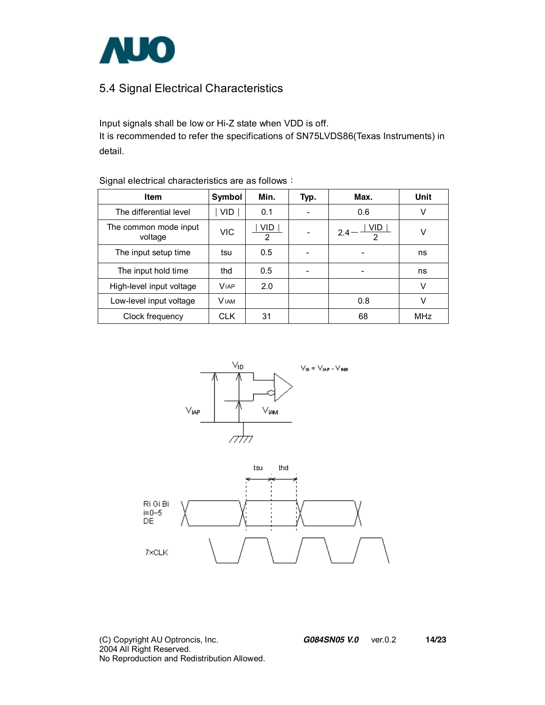

#### 5.4 Signal Electrical Characteristics

Input signals shall be low or Hi-Z state when VDD is off. It is recommended to refer the specifications of SN75LVDS86(Texas Instruments) in detail.

| Item                             | Symbol       | Min.                  | Typ. | Max.                     | Unit       |
|----------------------------------|--------------|-----------------------|------|--------------------------|------------|
| The differential level           | VID.         | 0.1                   |      | 0.6                      | V          |
| The common mode input<br>voltage | VIC.         | VID<br>$\overline{2}$ |      | VID.<br>$2.4 -$          | ٧          |
| The input setup time             | tsu          | 0.5                   |      | $\overline{\phantom{a}}$ | ns         |
| The input hold time              | thd          | 0.5                   |      | -                        | ns         |
| High-level input voltage         | <b>VIAP</b>  | 2.0                   |      |                          | V          |
| Low-level input voltage          | <b>V</b> IAM |                       |      | 0.8                      | V          |
| Clock frequency                  | <b>CLK</b>   | 31                    |      | 68                       | <b>MHz</b> |

Signal electrical characteristics are as follows:





(C) Copyright AU Optroncis, Inc.*G084SN05 V.0*ver.0.2 **14/23**  2004 All Right Reserved. No Reproduction and Redistribution Allowed.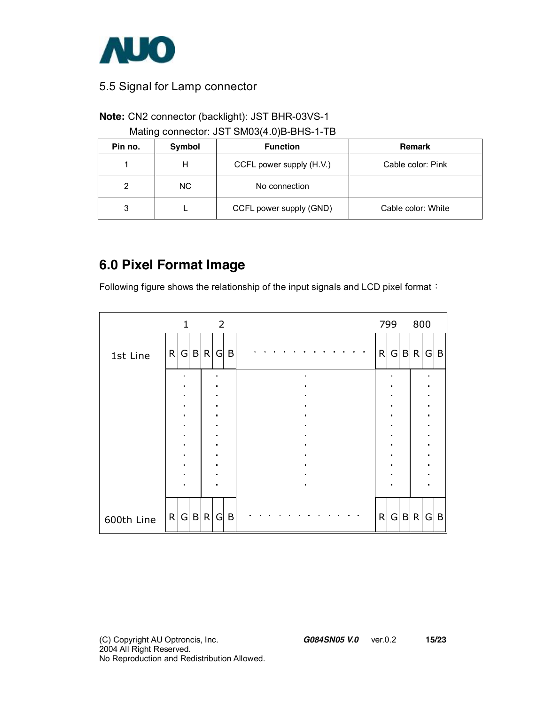

#### 5.5 Signal for Lamp connector

#### **Note:** CN2 connector (backlight): JST BHR-03VS-1

Mating connector: JST SM03(4.0)B-BHS-1-TB

| Pin no. | Symbol | <b>Function</b>          | <b>Remark</b>      |
|---------|--------|--------------------------|--------------------|
|         | н      | CCFL power supply (H.V.) | Cable color: Pink  |
| 2       | NC.    | No connection            |                    |
| 3       |        | CCFL power supply (GND)  | Cable color: White |

## **6.0 Pixel Format Image**

Following figure shows the relationship of the input signals and LCD pixel format:

|            |   | $\mathbf{1}$        |         | 2                                |   |  |  |  |                             |  |  |  |   | 799 | 800   |                                  |   |
|------------|---|---------------------|---------|----------------------------------|---|--|--|--|-----------------------------|--|--|--|---|-----|-------|----------------------------------|---|
| 1st Line   | R |                     | G B R   | G                                | B |  |  |  |                             |  |  |  | R |     | G B R | G                                | B |
|            |   | $\blacksquare$      |         |                                  |   |  |  |  | $\blacksquare$              |  |  |  |   |     |       |                                  |   |
|            |   |                     |         | $\blacksquare$                   |   |  |  |  |                             |  |  |  |   |     |       |                                  |   |
|            |   | ٠<br>$\blacksquare$ |         | $\blacksquare$<br>$\blacksquare$ |   |  |  |  | $\blacksquare$              |  |  |  |   |     |       | $\blacksquare$<br>$\blacksquare$ |   |
|            |   | $\blacksquare$      |         | $\bullet$                        |   |  |  |  | $\bullet$                   |  |  |  |   |     |       | $\blacksquare$                   |   |
|            |   |                     |         |                                  |   |  |  |  |                             |  |  |  |   |     |       |                                  |   |
|            |   | $\blacksquare$      |         | $\blacksquare$                   |   |  |  |  | $\blacksquare$              |  |  |  |   |     |       | $\blacksquare$                   |   |
|            |   |                     |         |                                  |   |  |  |  |                             |  |  |  |   |     |       |                                  |   |
|            |   | n                   |         | $\blacksquare$                   |   |  |  |  | $\blacksquare$<br>$\bullet$ |  |  |  |   |     |       |                                  |   |
|            |   |                     |         |                                  |   |  |  |  |                             |  |  |  |   |     |       |                                  |   |
| 600th Line |   |                     | R G B R | G                                | B |  |  |  |                             |  |  |  | R |     | G B R | G                                | B |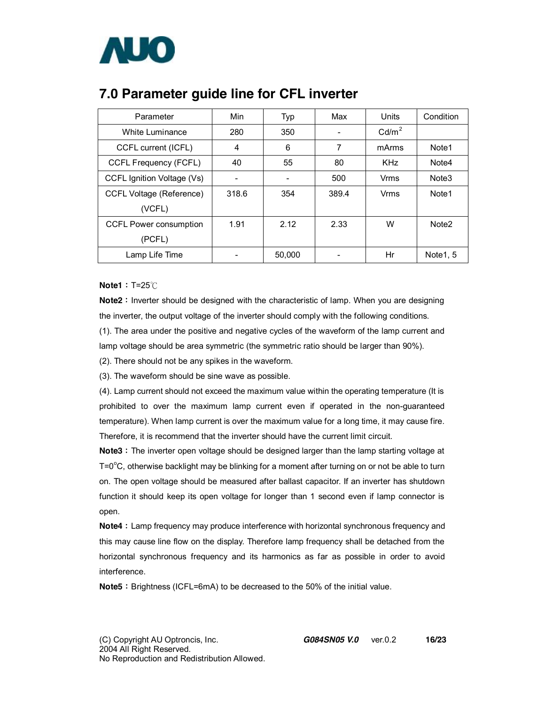

| Parameter                       | Min   | Typ    | Max   | Units             | Condition         |
|---------------------------------|-------|--------|-------|-------------------|-------------------|
| White Luminance                 | 280   | 350    |       | Cd/m <sup>2</sup> |                   |
| CCFL current (ICFL)             | 4     | 6      | 7     | mArms             | Note <sub>1</sub> |
| CCFL Frequency (FCFL)           | 40    | 55     | 80    | <b>KHz</b>        | Note4             |
| CCFL Ignition Voltage (Vs)      | -     |        | 500   | Vrms              | Note <sub>3</sub> |
| <b>CCFL Voltage (Reference)</b> | 318.6 | 354    | 389.4 | Vrms              | Note1             |
| (VCFL)                          |       |        |       |                   |                   |
| <b>CCFL Power consumption</b>   | 1.91  | 2.12   | 2.33  | W                 | Note <sub>2</sub> |
| (PCFL)                          |       |        |       |                   |                   |
| Lamp Life Time                  |       | 50,000 |       | Hr                | Note1, 5          |

### **7.0 Parameter guide line for CFL inverter**

**Note1**: T=25℃

**Note2**: Inverter should be designed with the characteristic of lamp. When you are designing the inverter, the output voltage of the inverter should comply with the following conditions.

(1). The area under the positive and negative cycles of the waveform of the lamp current and lamp voltage should be area symmetric (the symmetric ratio should be larger than 90%).

(2). There should not be any spikes in the waveform.

(3). The waveform should be sine wave as possible.

(4). Lamp current should not exceed the maximum value within the operating temperature (It is prohibited to over the maximum lamp current even if operated in the non-guaranteed temperature). When lamp current is over the maximum value for a long time, it may cause fire. Therefore, it is recommend that the inverter should have the current limit circuit.

**Note3**: The inverter open voltage should be designed larger than the lamp starting voltage at  $T = 0^{\circ}$ C, otherwise backlight may be blinking for a moment after turning on or not be able to turn on. The open voltage should be measured after ballast capacitor. If an inverter has shutdown function it should keep its open voltage for longer than 1 second even if lamp connector is open.

**Note4**: Lamp frequency may produce interference with horizontal synchronous frequency and this may cause line flow on the display. Therefore lamp frequency shall be detached from the horizontal synchronous frequency and its harmonics as far as possible in order to avoid interference.

**Note5**: Brightness (ICFL=6mA) to be decreased to the 50% of the initial value.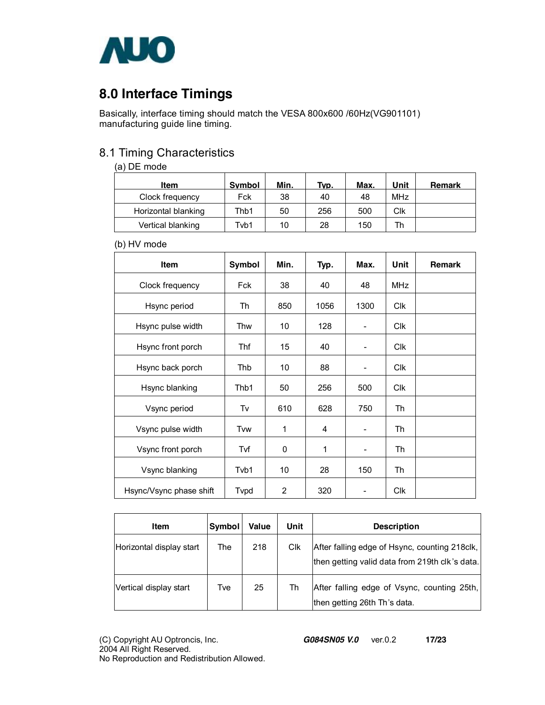

### **8.0 Interface Timings**

Basically, interface timing should match the VESA 800x600 /60Hz(VG901101) manufacturing guide line timing.

#### 8.1 Timing Characteristics

#### (a) DE mode

| Item                | <b>Symbol</b> | Min. | Typ. | Max. | Unit       | Remark |
|---------------------|---------------|------|------|------|------------|--------|
| Clock frequency     | Fck           | 38   | 40   | 48   | <b>MHz</b> |        |
| Horizontal blanking | Thb1          | 50   | 256  | 500  | Clk        |        |
| Vertical blanking   | Tvb1          | 10   | 28   | 150  | Th         |        |

(b) HV mode

| <b>Item</b>             | Symbol                  | Min. | Typ. | Max. | Unit             | <b>Remark</b> |
|-------------------------|-------------------------|------|------|------|------------------|---------------|
| Clock frequency         | Fck                     | 38   | 40   | 48   | <b>MHz</b>       |               |
| Hsync period            | Th                      | 850  | 1056 | 1300 | <b>CIK</b>       |               |
| Hsync pulse width       | Thw                     | 10   | 128  |      | Clk              |               |
| Hsync front porch       | Thf                     | 15   | 40   |      | Clk              |               |
| Hsync back porch        | Thb                     | 10   | 88   |      | <b>CIK</b>       |               |
| Hsync blanking          | Thb1                    | 50   | 256  | 500  | C <sub>I</sub> k |               |
| Vsync period            | Tv                      | 610  | 628  | 750  | Th               |               |
| Vsync pulse width       | Tvw                     | 1    | 4    | -    | Th               |               |
| Vsync front porch       | Tvf                     | 0    | 1    | -    | Th               |               |
| Vsync blanking          | Tvb1                    | 10   | 28   | 150  | Th               |               |
| Hsync/Vsync phase shift | <b>T</b> <sub>vpd</sub> | 2    | 320  |      | Clk              |               |

| Item                     | Symbol | Value | Unit | <b>Description</b>                                                                              |
|--------------------------|--------|-------|------|-------------------------------------------------------------------------------------------------|
| Horizontal display start | The    | 218   | Clk  | After falling edge of Hsync, counting 218clk,<br>then getting valid data from 219th clk's data. |
| Vertical display start   | Tve    | 25    | Th   | After falling edge of Vsync, counting 25th,<br>then getting 26th Th's data.                     |

(C) Copyright AU Optroncis, Inc.*G084SN05 V.0*ver.0.2 **17/23**  2004 All Right Reserved. No Reproduction and Redistribution Allowed.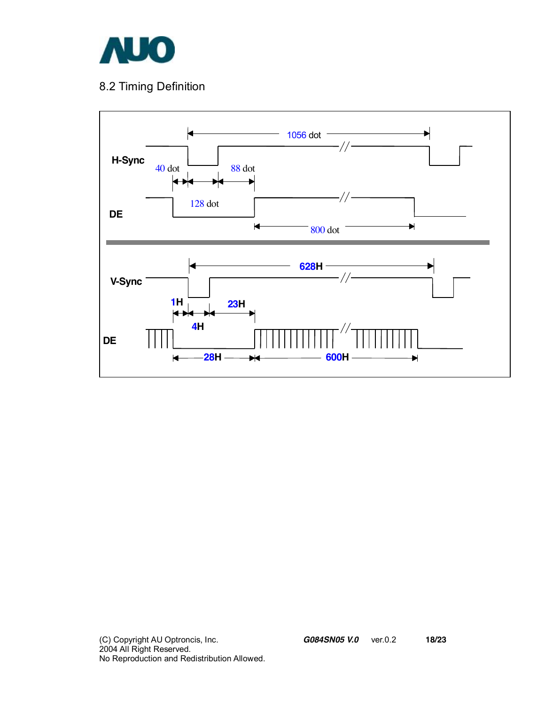

### 8.2 Timing Definition

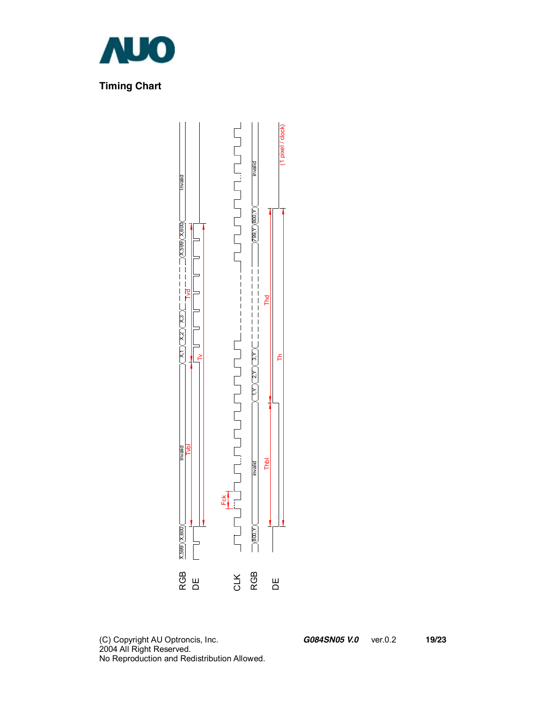



(C) Copyright AU Optroncis, Inc.*G084SN05 V.0*ver.0.2 **19/23**  2004 All Right Reserved. No Reproduction and Redistribution Allowed.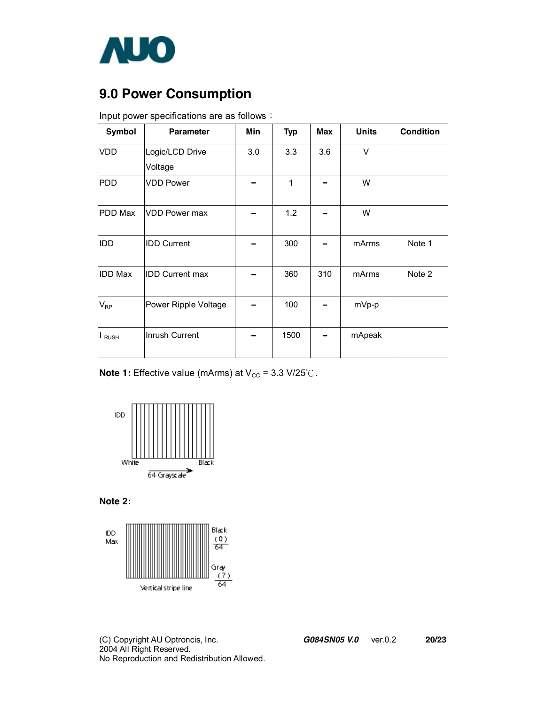

## **9.0 Power Consumption**

| <b>Symbol</b>  | <b>Parameter</b>       | Min | <b>Typ</b> | <b>Max</b> | <b>Units</b> | <b>Condition</b> |
|----------------|------------------------|-----|------------|------------|--------------|------------------|
| <b>VDD</b>     | Logic/LCD Drive        | 3.0 | 3.3        | 3.6        | V            |                  |
|                | Voltage                |     |            |            |              |                  |
| PDD            | <b>VDD Power</b>       |     | 1          |            | W            |                  |
| <b>PDD Max</b> | <b>VDD Power max</b>   |     | 1.2        |            | W            |                  |
| IDD            | <b>IDD Current</b>     |     | 300        |            | mArms        | Note 1           |
| <b>IDD Max</b> | <b>IDD Current max</b> |     | 360        | 310        | mArms        | Note 2           |
| $V_{RP}$       | Power Ripple Voltage   |     | 100        |            | mVp-p        |                  |
| I RUSH         | Inrush Current         |     | 1500       |            | mApeak       |                  |

Input power specifications are as follows:

**Note 1:** Effective value (mArms) at V<sub>cc</sub> = 3.3 V/25℃.



**Note 2:** 



(C) Copyright AU Optroncis, Inc.*G084SN05 V.0*ver.0.2 **20/23**  2004 All Right Reserved. No Reproduction and Redistribution Allowed.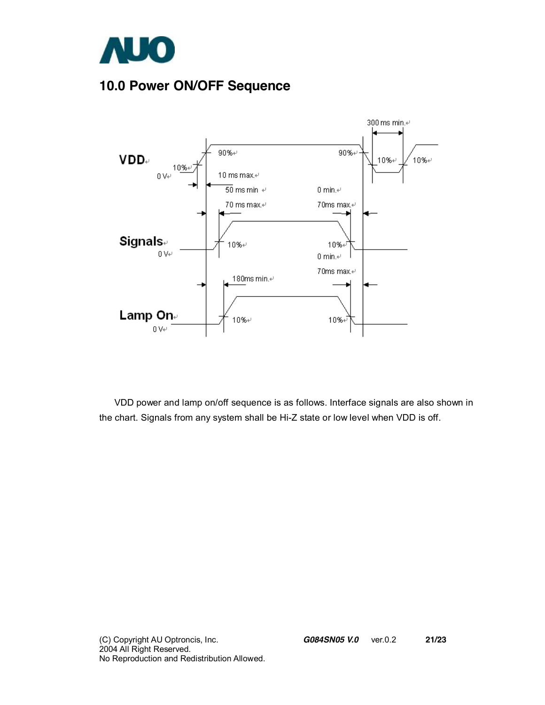

## **10.0 Power ON/OFF Sequence**



VDD power and lamp on/off sequence is as follows. Interface signals are also shown in the chart. Signals from any system shall be Hi-Z state or low level when VDD is off.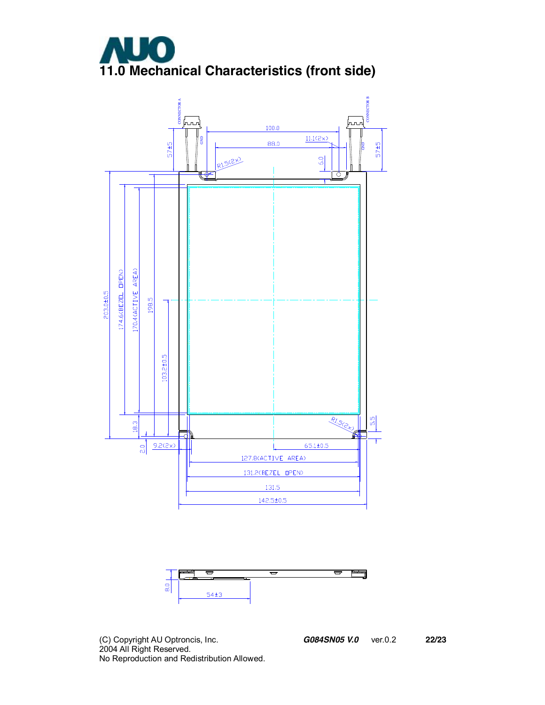





(C) Copyright AU Optroncis, Inc.*G084SN05 V.0*ver.0.2 **22/23**  2004 All Right Reserved. No Reproduction and Redistribution Allowed.